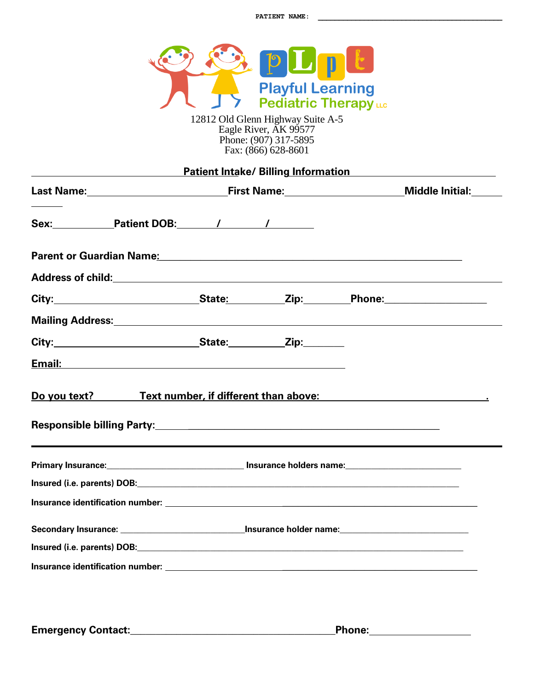

12812 Old Glenn Highway Suite A-5 Eagle River, AK 99577 Phone: (907) 317-5895 Fax: (866) 628-8601

|                                                                                                                              |                                                                                                                       |  | <b>Patient Intake/ Billing Information</b> |                                                                                                                       |
|------------------------------------------------------------------------------------------------------------------------------|-----------------------------------------------------------------------------------------------------------------------|--|--------------------------------------------|-----------------------------------------------------------------------------------------------------------------------|
| Last Name: Mame: Manner All Almes Allen Middle Initial: Manner Almany Middle Initial: Middle Initial: Museum Middle Initial: |                                                                                                                       |  |                                            |                                                                                                                       |
|                                                                                                                              |                                                                                                                       |  |                                            |                                                                                                                       |
|                                                                                                                              |                                                                                                                       |  |                                            |                                                                                                                       |
|                                                                                                                              |                                                                                                                       |  |                                            |                                                                                                                       |
|                                                                                                                              |                                                                                                                       |  |                                            |                                                                                                                       |
|                                                                                                                              |                                                                                                                       |  |                                            |                                                                                                                       |
|                                                                                                                              |                                                                                                                       |  |                                            |                                                                                                                       |
|                                                                                                                              |                                                                                                                       |  |                                            |                                                                                                                       |
|                                                                                                                              |                                                                                                                       |  |                                            | Do you text? Text number, if different than above: Do you text?                                                       |
|                                                                                                                              | Primary Insurance: <u>__________________________________</u> Insurance holders name:_________________________________ |  |                                            |                                                                                                                       |
|                                                                                                                              |                                                                                                                       |  |                                            |                                                                                                                       |
|                                                                                                                              |                                                                                                                       |  |                                            |                                                                                                                       |
|                                                                                                                              |                                                                                                                       |  |                                            | Secondary Insurance: <u>New York Channels And Insurance holder name:</u> New York Channels And Insurance holder name: |
|                                                                                                                              |                                                                                                                       |  |                                            |                                                                                                                       |
|                                                                                                                              |                                                                                                                       |  |                                            |                                                                                                                       |

**Emergency Contact:\_\_\_\_\_\_\_\_\_\_\_\_\_\_\_\_\_\_\_\_\_\_\_\_\_\_\_\_\_\_\_\_\_\_\_\_\_\_\_\_Phone:**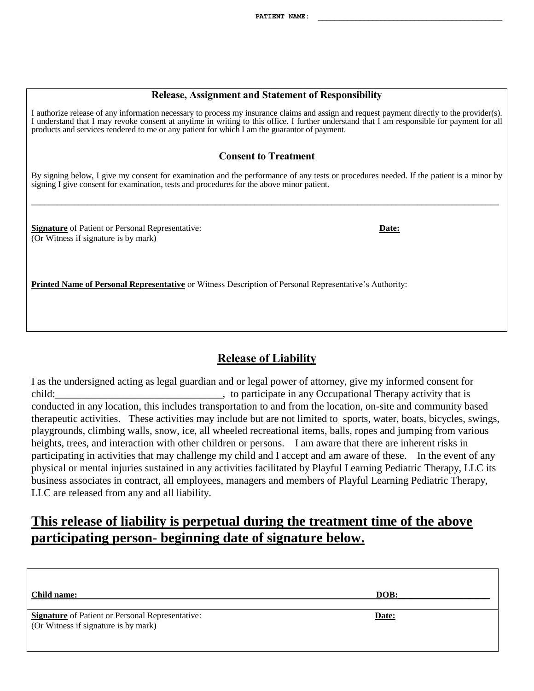#### **Release, Assignment and Statement of Responsibility**

I authorize release of any information necessary to process my insurance claims and assign and request payment directly to the provider(s). I understand that I may revoke consent at anytime in writing to this office. I further understand that I am responsible for payment for all products and services rendered to me or any patient for which I am the guarantor of payment.

#### **Consent to Treatment**

By signing below, I give my consent for examination and the performance of any tests or procedures needed. If the patient is a minor by signing I give consent for examination, tests and procedures for the above minor patient.

\_\_\_\_\_\_\_\_\_\_\_\_\_\_\_\_\_\_\_\_\_\_\_\_\_\_\_\_\_\_\_\_\_\_\_\_\_\_\_\_\_\_\_\_\_\_\_\_\_\_\_\_\_\_\_\_\_\_\_\_\_\_\_\_\_\_\_\_\_\_\_\_\_\_\_\_\_\_\_\_\_\_\_\_\_\_\_\_\_\_\_\_\_\_\_\_\_\_\_\_\_\_\_\_\_\_\_\_\_

**Signature** of Patient or Personal Representative: **Date:** (Or Witness if signature is by mark)

**Printed Name of Personal Representative** or Witness Description of Personal Representative's Authority:

## **Release of Liability**

I as the undersigned acting as legal guardian and or legal power of attorney, give my informed consent for child: the participate in any Occupational Therapy activity that is conducted in any location, this includes transportation to and from the location, on-site and community based therapeutic activities. These activities may include but are not limited to sports, water, boats, bicycles, swings, playgrounds, climbing walls, snow, ice, all wheeled recreational items, balls, ropes and jumping from various heights, trees, and interaction with other children or persons. I am aware that there are inherent risks in participating in activities that may challenge my child and I accept and am aware of these. In the event of any physical or mental injuries sustained in any activities facilitated by Playful Learning Pediatric Therapy, LLC its business associates in contract, all employees, managers and members of Playful Learning Pediatric Therapy, LLC are released from any and all liability.

# **This release of liability is perpetual during the treatment time of the above participating person- beginning date of signature below.**

| Child name:                                                                                     | DOB:  |
|-------------------------------------------------------------------------------------------------|-------|
| <b>Signature</b> of Patient or Personal Representative:<br>(Or Witness if signature is by mark) | Date: |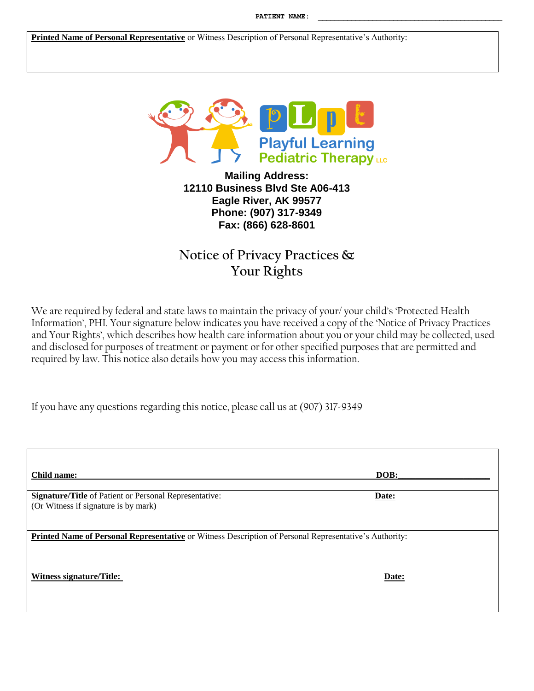**Printed Name of Personal Representative** or Witness Description of Personal Representative's Authority:



**Mailing Address: 12110 Business Blvd Ste A06-413 Eagle River, AK 99577 Phone: (907) 317-9349 Fax: (866) 628-8601**

# **Notice of Privacy Practices & Your Rights**

We are required by federal and state laws to maintain the privacy of your/ your child's 'Protected Health Information', PHI. Your signature below indicates you have received a copy of the 'Notice of Privacy Practices and Your Rights', which describes how health care information about you or your child may be collected, used and disclosed for purposes of treatment or payment or for other specified purposes that are permitted and required by law. This notice also details how you may access this information.

If you have any questions regarding this notice, please call us at (907) 317-9349

| Child name:                                                                                            | DOB:  |  |  |
|--------------------------------------------------------------------------------------------------------|-------|--|--|
| <b>Signature/Title</b> of Patient or Personal Representative:<br>(Or Witness if signature is by mark)  | Date: |  |  |
| Printed Name of Personal Representative or Witness Description of Personal Representative's Authority: |       |  |  |
| Witness signature/Title:                                                                               | Date: |  |  |
|                                                                                                        |       |  |  |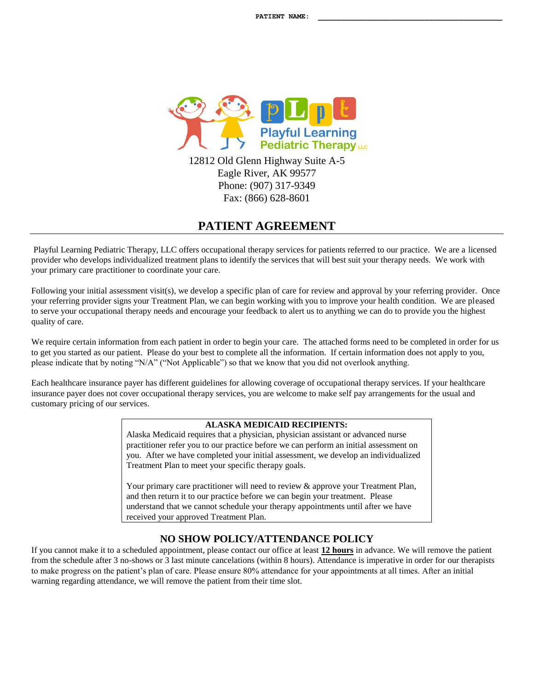

Eagle River, AK 99577 Phone: (907) 317-9349 Fax: (866) 628-8601

## **PATIENT AGREEMENT**

Playful Learning Pediatric Therapy, LLC offers occupational therapy services for patients referred to our practice. We are a licensed provider who develops individualized treatment plans to identify the services that will best suit your therapy needs. We work with your primary care practitioner to coordinate your care.

Following your initial assessment visit(s), we develop a specific plan of care for review and approval by your referring provider. Once your referring provider signs your Treatment Plan, we can begin working with you to improve your health condition. We are pleased to serve your occupational therapy needs and encourage your feedback to alert us to anything we can do to provide you the highest quality of care.

We require certain information from each patient in order to begin your care. The attached forms need to be completed in order for us to get you started as our patient. Please do your best to complete all the information. If certain information does not apply to you, please indicate that by noting "N/A" ("Not Applicable") so that we know that you did not overlook anything.

Each healthcare insurance payer has different guidelines for allowing coverage of occupational therapy services. If your healthcare insurance payer does not cover occupational therapy services, you are welcome to make self pay arrangements for the usual and customary pricing of our services.

#### **ALASKA MEDICAID RECIPIENTS:**

Alaska Medicaid requires that a physician, physician assistant or advanced nurse practitioner refer you to our practice before we can perform an initial assessment on you. After we have completed your initial assessment, we develop an individualized Treatment Plan to meet your specific therapy goals.

Your primary care practitioner will need to review & approve your Treatment Plan, and then return it to our practice before we can begin your treatment. Please understand that we cannot schedule your therapy appointments until after we have received your approved Treatment Plan.

### **NO SHOW POLICY/ATTENDANCE POLICY**

If you cannot make it to a scheduled appointment, please contact our office at least **12 hours** in advance. We will remove the patient from the schedule after 3 no-shows or 3 last minute cancelations (within 8 hours). Attendance is imperative in order for our therapists to make progress on the patient's plan of care. Please ensure 80% attendance for your appointments at all times. After an initial warning regarding attendance, we will remove the patient from their time slot.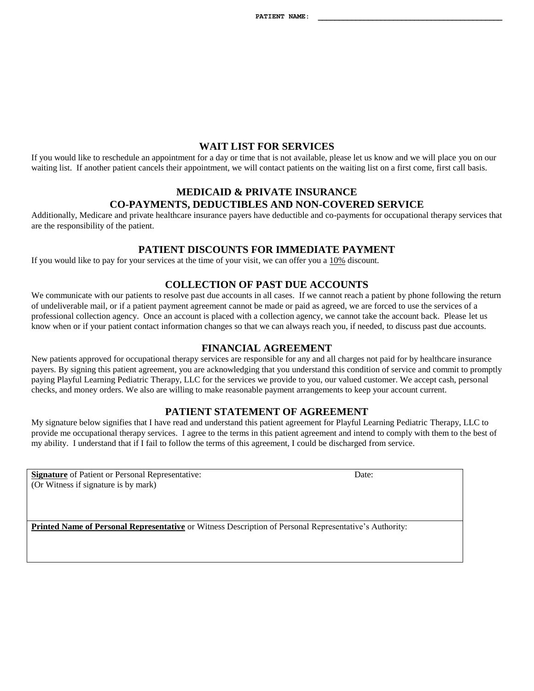#### **WAIT LIST FOR SERVICES**

If you would like to reschedule an appointment for a day or time that is not available, please let us know and we will place you on our waiting list. If another patient cancels their appointment, we will contact patients on the waiting list on a first come, first call basis.

### **MEDICAID & PRIVATE INSURANCE CO-PAYMENTS, DEDUCTIBLES AND NON-COVERED SERVICE**

Additionally, Medicare and private healthcare insurance payers have deductible and co-payments for occupational therapy services that are the responsibility of the patient.

#### **PATIENT DISCOUNTS FOR IMMEDIATE PAYMENT**

If you would like to pay for your services at the time of your visit, we can offer you a 10% discount.

#### **COLLECTION OF PAST DUE ACCOUNTS**

We communicate with our patients to resolve past due accounts in all cases. If we cannot reach a patient by phone following the return of undeliverable mail, or if a patient payment agreement cannot be made or paid as agreed, we are forced to use the services of a professional collection agency. Once an account is placed with a collection agency, we cannot take the account back. Please let us know when or if your patient contact information changes so that we can always reach you, if needed, to discuss past due accounts.

#### **FINANCIAL AGREEMENT**

New patients approved for occupational therapy services are responsible for any and all charges not paid for by healthcare insurance payers. By signing this patient agreement, you are acknowledging that you understand this condition of service and commit to promptly paying Playful Learning Pediatric Therapy, LLC for the services we provide to you, our valued customer. We accept cash, personal checks, and money orders. We also are willing to make reasonable payment arrangements to keep your account current.

#### **PATIENT STATEMENT OF AGREEMENT**

My signature below signifies that I have read and understand this patient agreement for Playful Learning Pediatric Therapy, LLC to provide me occupational therapy services. I agree to the terms in this patient agreement and intend to comply with them to the best of my ability. I understand that if I fail to follow the terms of this agreement, I could be discharged from service.

**Signature** of Patient or Personal Representative: Date: Date: (Or Witness if signature is by mark)

**Printed Name of Personal Representative** or Witness Description of Personal Representative's Authority: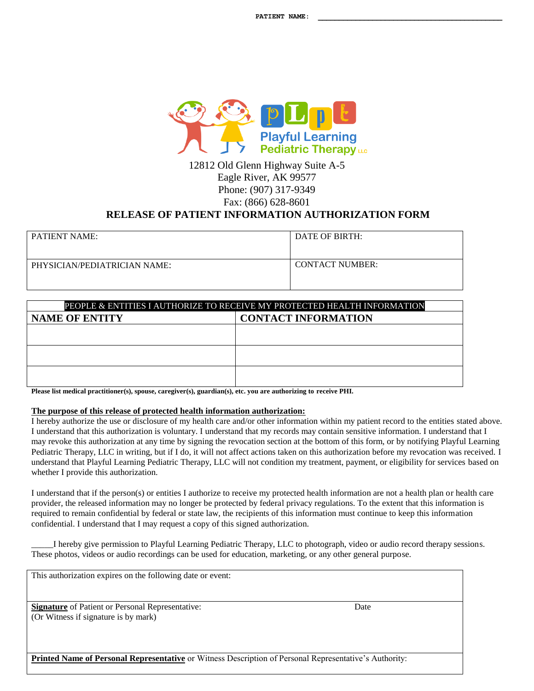

12812 Old Glenn Highway Suite A-5 Eagle River, AK 99577 Phone: (907) 317-9349 Fax: (866) 628-8601

## **RELEASE OF PATIENT INFORMATION AUTHORIZATION FORM**

| <b>PATIENT NAME:</b>         | DATE OF BIRTH:         |
|------------------------------|------------------------|
| PHYSICIAN/PEDIATRICIAN NAME: | <b>CONTACT NUMBER:</b> |

| PEOPLE & ENTITIES I AUTHORIZE TO RECEIVE MY PROTECTED HEALTH INFORMATION |                            |  |  |  |
|--------------------------------------------------------------------------|----------------------------|--|--|--|
| <b>NAME OF ENTITY</b>                                                    | <b>CONTACT INFORMATION</b> |  |  |  |
|                                                                          |                            |  |  |  |
|                                                                          |                            |  |  |  |
|                                                                          |                            |  |  |  |
|                                                                          |                            |  |  |  |
|                                                                          |                            |  |  |  |
|                                                                          |                            |  |  |  |

**Please list medical practitioner(s), spouse, caregiver(s), guardian(s), etc. you are authorizing to receive PHI.**

#### **The purpose of this release of protected health information authorization:**

I hereby authorize the use or disclosure of my health care and/or other information within my patient record to the entities stated above. I understand that this authorization is voluntary. I understand that my records may contain sensitive information. I understand that I may revoke this authorization at any time by signing the revocation section at the bottom of this form, or by notifying Playful Learning Pediatric Therapy, LLC in writing, but if I do, it will not affect actions taken on this authorization before my revocation was received. I understand that Playful Learning Pediatric Therapy, LLC will not condition my treatment, payment, or eligibility for services based on whether I provide this authorization.

I understand that if the person(s) or entities I authorize to receive my protected health information are not a health plan or health care provider, the released information may no longer be protected by federal privacy regulations. To the extent that this information is required to remain confidential by federal or state law, the recipients of this information must continue to keep this information confidential. I understand that I may request a copy of this signed authorization.

\_\_\_\_\_I hereby give permission to Playful Learning Pediatric Therapy, LLC to photograph, video or audio record therapy sessions. These photos, videos or audio recordings can be used for education, marketing, or any other general purpose.

This authorization expires on the following date or event:

**Signature** of Patient or Personal Representative: Date (Or Witness if signature is by mark)

**Printed Name of Personal Representative** or Witness Description of Personal Representative's Authority: